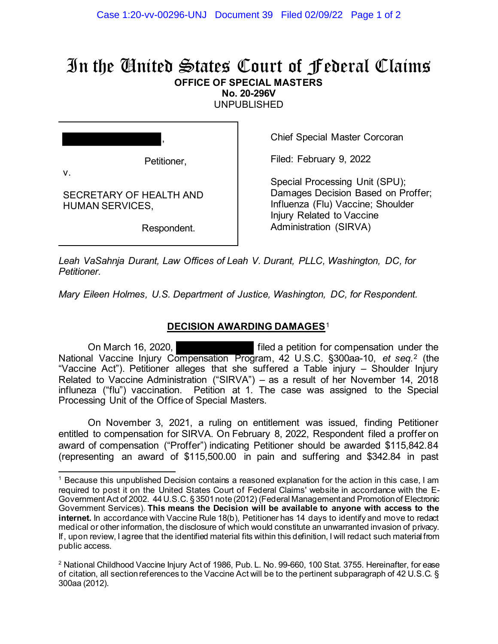## In the United States Court of Federal Claims **OFFICE OF SPECIAL MASTERS**

**No. 20-296V** 

UNPUBLISHED

,

v.

SECRETARY OF HEALTH AND HUMAN SERVICES,

Respondent.

Chief Special Master Corcoran

Filed: February 9, 2022

Special Processing Unit (SPU); Damages Decision Based on Proffer; Influenza (Flu) Vaccine; Shoulder Injury Related to Vaccine Administration (SIRVA)

*Leah VaSahnja Durant, Law Offices of Leah V. Durant, PLLC, Washington, DC, for Petitioner.*

*Mary Eileen Holmes, U.S. Department of Justice, Washington, DC, for Respondent.*

## **DECISION AWARDING DAMAGES**<sup>1</sup>

On March 16, 2020, filed a petition for compensation under the National Vaccine Injury Compensation Program, 42 U.S.C. §300aa-10, *et seq.*<sup>2</sup> (the "Vaccine Act"). Petitioner alleges that she suffered a Table injury – Shoulder Injury Related to Vaccine Administration ("SIRVA") – as a result of her November 14, 2018 influneza ("flu") vaccination. Petition at 1. The case was assigned to the Special Processing Unit of the Office of Special Masters.

On November 3, 2021, a ruling on entitlement was issued, finding Petitioner entitled to compensation for SIRVA. On February 8, 2022, Respondent filed a proffer on award of compensation ("Proffer") indicating Petitioner should be awarded \$115,842.84 (representing an award of \$115,500.00 in pain and suffering and \$342.84 in past

<sup>&</sup>lt;sup>1</sup> Because this unpublished Decision contains a reasoned explanation for the action in this case, I am required to post it on the United States Court of Federal Claims' website in accordance with the E-Government Act of 2002. 44 U.S.C. § 3501 note (2012) (Federal Management and Promotion of Electronic Government Services). **This means the Decision will be available to anyone with access to the internet.** In accordance with Vaccine Rule 18(b), Petitioner has 14 days to identify and move to redact medical or other information, the disclosure of which would constitute an unwarranted invasion of privacy. If, upon review, I agree that the identified material fits within this definition, I will redact such material from public access.

<sup>2</sup> National Childhood Vaccine Injury Act of 1986, Pub. L. No. 99-660, 100 Stat. 3755. Hereinafter, for ease of citation, all sectionreferences to the Vaccine Act will be to the pertinent subparagraph of 42 U.S.C. § 300aa (2012).